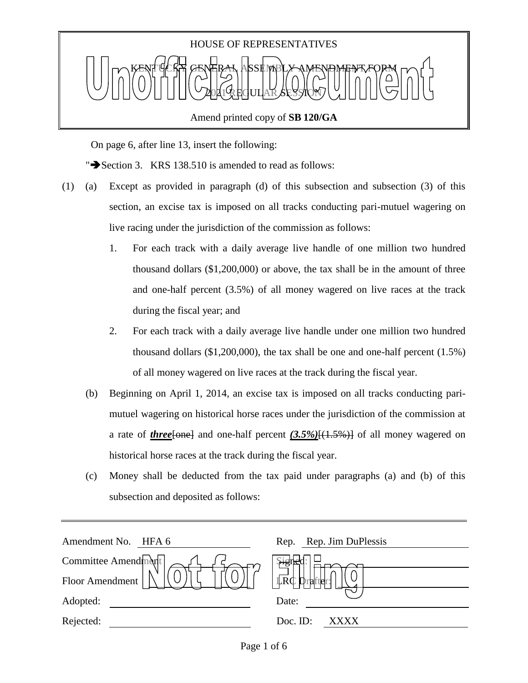

On page 6, after line 13, insert the following:

" $\blacktriangleright$  Section 3. KRS 138.510 is amended to read as follows:

- (1) (a) Except as provided in paragraph (d) of this subsection and subsection (3) of this section, an excise tax is imposed on all tracks conducting pari-mutuel wagering on live racing under the jurisdiction of the commission as follows:
	- 1. For each track with a daily average live handle of one million two hundred thousand dollars (\$1,200,000) or above, the tax shall be in the amount of three and one-half percent (3.5%) of all money wagered on live races at the track during the fiscal year; and
	- 2. For each track with a daily average live handle under one million two hundred thousand dollars (\$1,200,000), the tax shall be one and one-half percent (1.5%) of all money wagered on live races at the track during the fiscal year.
	- (b) Beginning on April 1, 2014, an excise tax is imposed on all tracks conducting parimutuel wagering on historical horse races under the jurisdiction of the commission at a rate of *three*[one] and one-half percent *(3.5%)*[(1.5%)] of all money wagered on historical horse races at the track during the fiscal year.
	- (c) Money shall be deducted from the tax paid under paragraphs (a) and (b) of this subsection and deposited as follows:

| Rep. Rep. Jim DuPlessis |
|-------------------------|
| \$igne                  |
| <b>LRC</b><br>vrafter   |
| Date:                   |
| Doc. ID:<br><b>XXXX</b> |
|                         |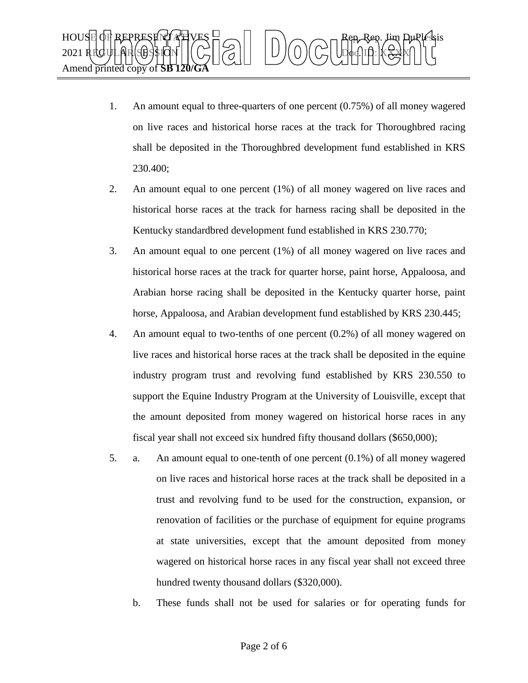

- 1. An amount equal to three-quarters of one percent (0.75%) of all money wagered on live races and historical horse races at the track for Thoroughbred racing shall be deposited in the Thoroughbred development fund established in KRS 230.400;
- 2. An amount equal to one percent (1%) of all money wagered on live races and historical horse races at the track for harness racing shall be deposited in the Kentucky standardbred development fund established in KRS 230.770;
- 3. An amount equal to one percent (1%) of all money wagered on live races and historical horse races at the track for quarter horse, paint horse, Appaloosa, and Arabian horse racing shall be deposited in the Kentucky quarter horse, paint horse, Appaloosa, and Arabian development fund established by KRS 230.445;
- 4. An amount equal to two-tenths of one percent (0.2%) of all money wagered on live races and historical horse races at the track shall be deposited in the equine industry program trust and revolving fund established by KRS 230.550 to support the Equine Industry Program at the University of Louisville, except that the amount deposited from money wagered on historical horse races in any fiscal year shall not exceed six hundred fifty thousand dollars (\$650,000);
- 5. a. An amount equal to one-tenth of one percent (0.1%) of all money wagered on live races and historical horse races at the track shall be deposited in a trust and revolving fund to be used for the construction, expansion, or renovation of facilities or the purchase of equipment for equine programs at state universities, except that the amount deposited from money wagered on historical horse races in any fiscal year shall not exceed three hundred twenty thousand dollars (\$320,000).
	- b. These funds shall not be used for salaries or for operating funds for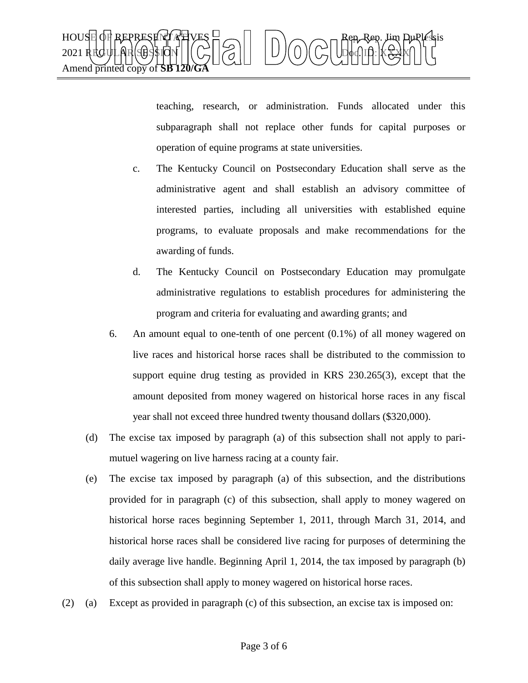

teaching, research, or administration. Funds allocated under this subparagraph shall not replace other funds for capital purposes or operation of equine programs at state universities.

- c. The Kentucky Council on Postsecondary Education shall serve as the administrative agent and shall establish an advisory committee of interested parties, including all universities with established equine programs, to evaluate proposals and make recommendations for the awarding of funds.
- d. The Kentucky Council on Postsecondary Education may promulgate administrative regulations to establish procedures for administering the program and criteria for evaluating and awarding grants; and
- 6. An amount equal to one-tenth of one percent (0.1%) of all money wagered on live races and historical horse races shall be distributed to the commission to support equine drug testing as provided in KRS 230.265(3), except that the amount deposited from money wagered on historical horse races in any fiscal year shall not exceed three hundred twenty thousand dollars (\$320,000).
- (d) The excise tax imposed by paragraph (a) of this subsection shall not apply to parimutuel wagering on live harness racing at a county fair.
- (e) The excise tax imposed by paragraph (a) of this subsection, and the distributions provided for in paragraph (c) of this subsection, shall apply to money wagered on historical horse races beginning September 1, 2011, through March 31, 2014, and historical horse races shall be considered live racing for purposes of determining the daily average live handle. Beginning April 1, 2014, the tax imposed by paragraph (b) of this subsection shall apply to money wagered on historical horse races.
- (2) (a) Except as provided in paragraph (c) of this subsection, an excise tax is imposed on: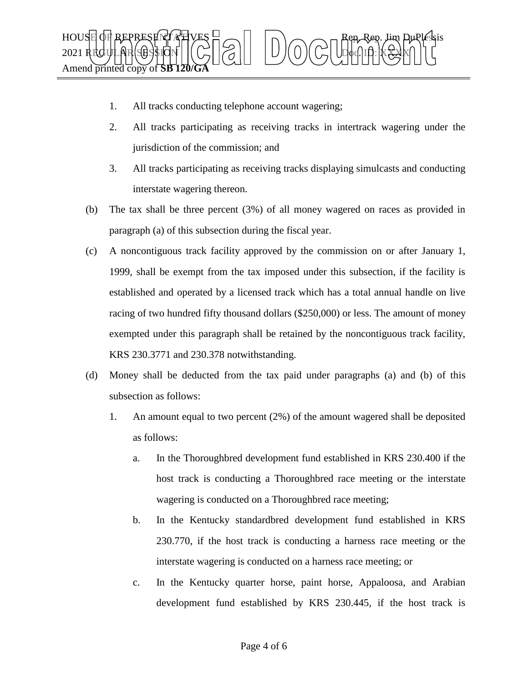

- 1. All tracks conducting telephone account wagering;
- 2. All tracks participating as receiving tracks in intertrack wagering under the jurisdiction of the commission; and
- 3. All tracks participating as receiving tracks displaying simulcasts and conducting interstate wagering thereon.
- (b) The tax shall be three percent (3%) of all money wagered on races as provided in paragraph (a) of this subsection during the fiscal year.
- (c) A noncontiguous track facility approved by the commission on or after January 1, 1999, shall be exempt from the tax imposed under this subsection, if the facility is established and operated by a licensed track which has a total annual handle on live racing of two hundred fifty thousand dollars (\$250,000) or less. The amount of money exempted under this paragraph shall be retained by the noncontiguous track facility, KRS 230.3771 and 230.378 notwithstanding.
- (d) Money shall be deducted from the tax paid under paragraphs (a) and (b) of this subsection as follows:
	- 1. An amount equal to two percent (2%) of the amount wagered shall be deposited as follows:
		- a. In the Thoroughbred development fund established in KRS 230.400 if the host track is conducting a Thoroughbred race meeting or the interstate wagering is conducted on a Thoroughbred race meeting;
		- b. In the Kentucky standardbred development fund established in KRS 230.770, if the host track is conducting a harness race meeting or the interstate wagering is conducted on a harness race meeting; or
		- c. In the Kentucky quarter horse, paint horse, Appaloosa, and Arabian development fund established by KRS 230.445, if the host track is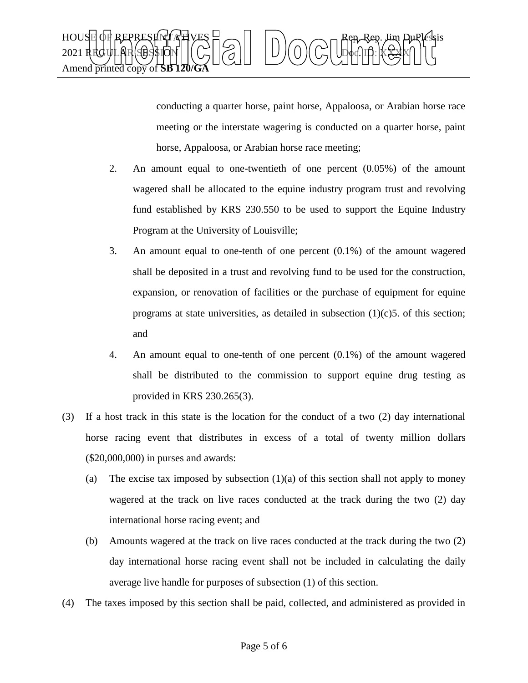

conducting a quarter horse, paint horse, Appaloosa, or Arabian horse race meeting or the interstate wagering is conducted on a quarter horse, paint horse, Appaloosa, or Arabian horse race meeting;

- 2. An amount equal to one-twentieth of one percent (0.05%) of the amount wagered shall be allocated to the equine industry program trust and revolving fund established by KRS 230.550 to be used to support the Equine Industry Program at the University of Louisville;
- 3. An amount equal to one-tenth of one percent (0.1%) of the amount wagered shall be deposited in a trust and revolving fund to be used for the construction, expansion, or renovation of facilities or the purchase of equipment for equine programs at state universities, as detailed in subsection  $(1)(c)$ 5. of this section; and
- 4. An amount equal to one-tenth of one percent (0.1%) of the amount wagered shall be distributed to the commission to support equine drug testing as provided in KRS 230.265(3).
- (3) If a host track in this state is the location for the conduct of a two (2) day international horse racing event that distributes in excess of a total of twenty million dollars (\$20,000,000) in purses and awards:
	- (a) The excise tax imposed by subsection  $(1)(a)$  of this section shall not apply to money wagered at the track on live races conducted at the track during the two (2) day international horse racing event; and
	- (b) Amounts wagered at the track on live races conducted at the track during the two (2) day international horse racing event shall not be included in calculating the daily average live handle for purposes of subsection (1) of this section.
- (4) The taxes imposed by this section shall be paid, collected, and administered as provided in